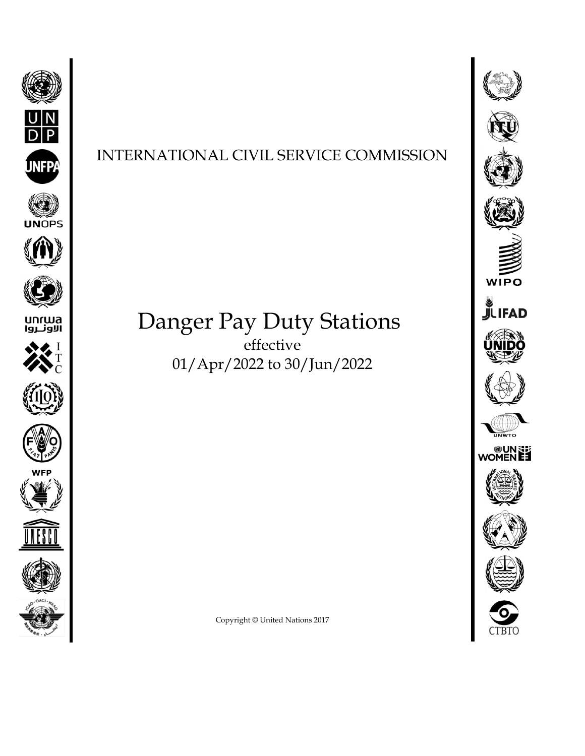



## Danger Pay Duty Stations effective 01/Apr/2022 to 30/Jun/2022





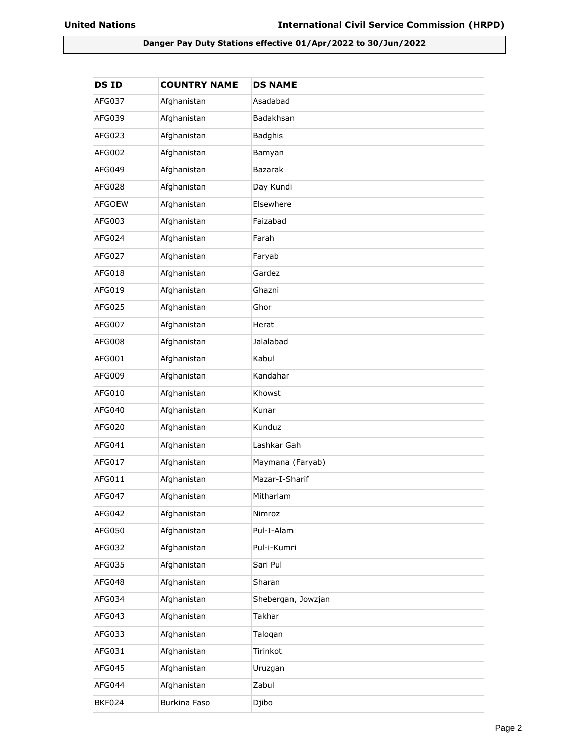## **Danger Pay Duty Stations effective 01/Apr/2022 to 30/Jun/2022**

| <b>DSID</b>   | <b>COUNTRY NAME</b> | <b>DS NAME</b>     |
|---------------|---------------------|--------------------|
| AFG037        | Afghanistan         | Asadabad           |
| AFG039        | Afghanistan         | Badakhsan          |
| AFG023        | Afghanistan         | <b>Badghis</b>     |
| AFG002        | Afghanistan         | Bamyan             |
| AFG049        | Afghanistan         | <b>Bazarak</b>     |
| AFG028        | Afghanistan         | Day Kundi          |
| <b>AFGOEW</b> | Afghanistan         | Elsewhere          |
| AFG003        | Afghanistan         | Faizabad           |
| AFG024        | Afghanistan         | Farah              |
| AFG027        | Afghanistan         | Faryab             |
| AFG018        | Afghanistan         | Gardez             |
| AFG019        | Afghanistan         | Ghazni             |
| AFG025        | Afghanistan         | Ghor               |
| AFG007        | Afghanistan         | Herat              |
| AFG008        | Afghanistan         | Jalalabad          |
| AFG001        | Afghanistan         | Kabul              |
| AFG009        | Afghanistan         | Kandahar           |
| AFG010        | Afghanistan         | Khowst             |
| AFG040        | Afghanistan         | Kunar              |
| AFG020        | Afghanistan         | Kunduz             |
| AFG041        | Afghanistan         | Lashkar Gah        |
| AFG017        | Afghanistan         | Maymana (Faryab)   |
| AFG011        | Afghanistan         | Mazar-I-Sharif     |
| AFG047        | Afghanistan         | Mitharlam          |
| AFG042        | Afghanistan         | Nimroz             |
| AFG050        | Afghanistan         | Pul-I-Alam         |
| AFG032        | Afghanistan         | Pul-i-Kumri        |
| AFG035        | Afghanistan         | Sari Pul           |
| AFG048        | Afghanistan         | Sharan             |
| AFG034        | Afghanistan         | Shebergan, Jowzjan |
| AFG043        | Afghanistan         | Takhar             |
| AFG033        | Afghanistan         | Taloqan            |
| AFG031        | Afghanistan         | Tirinkot           |
| AFG045        | Afghanistan         | Uruzgan            |
| AFG044        | Afghanistan         | Zabul              |
| <b>BKF024</b> | Burkina Faso        | Djibo              |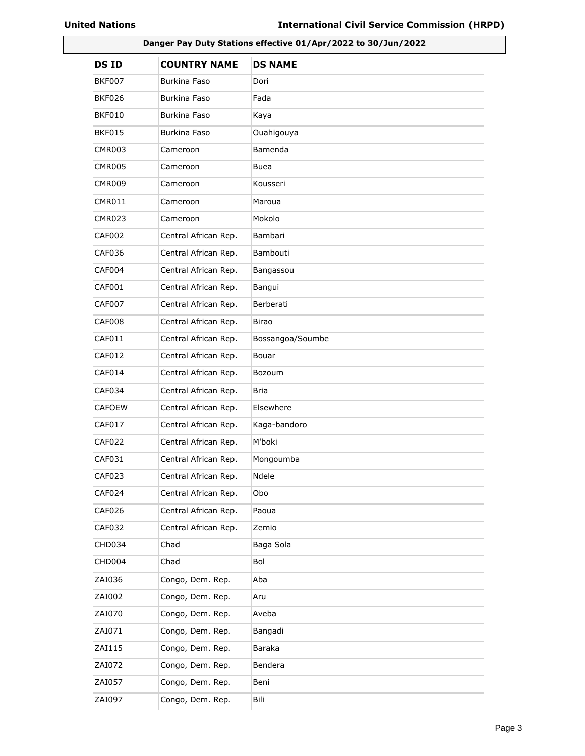| Danger Pay Duty Stations effective 01/Apr/2022 to 30/Jun/2022 |                      |                  |
|---------------------------------------------------------------|----------------------|------------------|
| <b>DSID</b>                                                   | <b>COUNTRY NAME</b>  | <b>DS NAME</b>   |
| <b>BKF007</b>                                                 | Burkina Faso         | Dori             |
| <b>BKF026</b>                                                 | Burkina Faso         | Fada             |
| BKF010                                                        | Burkina Faso         | Kaya             |
| BKF015                                                        | Burkina Faso         | Ouahigouya       |
| CMR003                                                        | Cameroon             | Bamenda          |
| CMR005                                                        | Cameroon             | Buea             |
| CMR009                                                        | Cameroon             | Kousseri         |
| CMR011                                                        | Cameroon             | Maroua           |
| <b>CMR023</b>                                                 | Cameroon             | Mokolo           |
| <b>CAF002</b>                                                 | Central African Rep. | Bambari          |
| CAF036                                                        | Central African Rep. | Bambouti         |
| CAF004                                                        | Central African Rep. | Bangassou        |
| CAF001                                                        | Central African Rep. | Bangui           |
| <b>CAF007</b>                                                 | Central African Rep. | Berberati        |
| CAF008                                                        | Central African Rep. | <b>Birao</b>     |
| CAF011                                                        | Central African Rep. | Bossangoa/Soumbe |
| CAF012                                                        | Central African Rep. | Bouar            |
| CAF014                                                        | Central African Rep. | Bozoum           |
| CAF034                                                        | Central African Rep. | <b>Bria</b>      |
| <b>CAFOEW</b>                                                 | Central African Rep. | Elsewhere        |
| <b>CAF017</b>                                                 | Central African Rep. | Kaga-bandoro     |
| CAF022                                                        | Central African Rep. | M'boki           |
| CAF031                                                        | Central African Rep. | Mongoumba        |
| CAF023                                                        | Central African Rep. | Ndele            |
| CAF024                                                        | Central African Rep. | Obo              |
| CAF026                                                        | Central African Rep. | Paoua            |
| CAF032                                                        | Central African Rep. | Zemio            |
| CHD034                                                        | Chad                 | Baga Sola        |
| CHD004                                                        | Chad                 | Bol              |
| ZAI036                                                        | Congo, Dem. Rep.     | Aba              |
| ZAI002                                                        | Congo, Dem. Rep.     | Aru              |
| ZAI070                                                        | Congo, Dem. Rep.     | Aveba            |
| ZAI071                                                        | Congo, Dem. Rep.     | Bangadi          |
| ZAI115                                                        | Congo, Dem. Rep.     | Baraka           |
| ZAI072                                                        | Congo, Dem. Rep.     | Bendera          |
| ZAI057                                                        | Congo, Dem. Rep.     | Beni             |
| ZAI097                                                        | Congo, Dem. Rep.     | Bili             |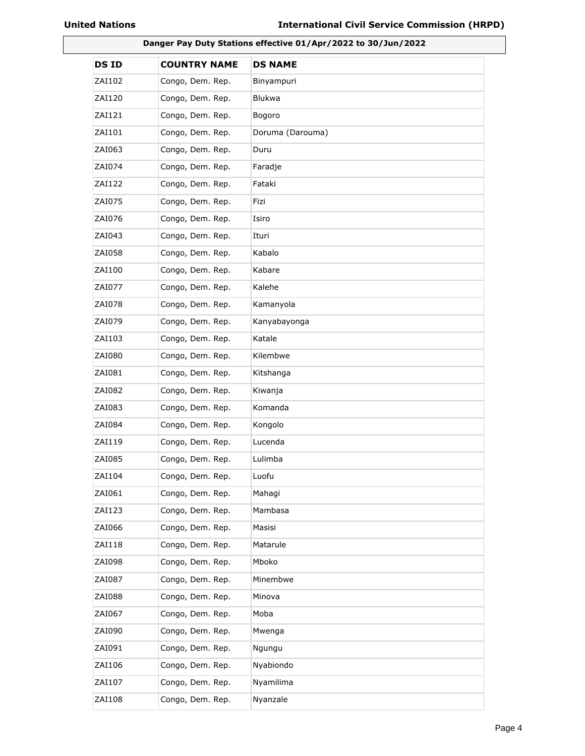| Danger Pay Duty Stations effective 01/Apr/2022 to 30/Jun/2022 |                     |                  |
|---------------------------------------------------------------|---------------------|------------------|
| <b>DSID</b>                                                   | <b>COUNTRY NAME</b> | <b>DS NAME</b>   |
| ZAI102                                                        | Congo, Dem. Rep.    | Binyampuri       |
| ZAI120                                                        | Congo, Dem. Rep.    | <b>Blukwa</b>    |
| ZAI121                                                        | Congo, Dem. Rep.    | Bogoro           |
| ZAI101                                                        | Congo, Dem. Rep.    | Doruma (Darouma) |
| ZAI063                                                        | Congo, Dem. Rep.    | Duru             |
| ZAI074                                                        | Congo, Dem. Rep.    | Faradje          |
| ZAI122                                                        | Congo, Dem. Rep.    | Fataki           |
| ZAI075                                                        | Congo, Dem. Rep.    | Fizi             |
| ZAI076                                                        | Congo, Dem. Rep.    | Isiro            |
| ZAI043                                                        | Congo, Dem. Rep.    | Ituri            |
| ZAI058                                                        | Congo, Dem. Rep.    | Kabalo           |
| ZAI100                                                        | Congo, Dem. Rep.    | Kabare           |
| ZAI077                                                        | Congo, Dem. Rep.    | Kalehe           |
| ZAI078                                                        | Congo, Dem. Rep.    | Kamanyola        |
| ZAI079                                                        | Congo, Dem. Rep.    | Kanyabayonga     |
| ZAI103                                                        | Congo, Dem. Rep.    | Katale           |
| ZAI080                                                        | Congo, Dem. Rep.    | Kilembwe         |
| ZAI081                                                        | Congo, Dem. Rep.    | Kitshanga        |
| ZAI082                                                        | Congo, Dem. Rep.    | Kiwanja          |
| ZAI083                                                        | Congo, Dem. Rep.    | Komanda          |
| ZAI084                                                        | Congo, Dem. Rep.    | Kongolo          |
| ZAI119                                                        | Congo, Dem. Rep.    | Lucenda          |
| ZAI085                                                        | Congo, Dem. Rep.    | Lulimba          |
| ZAI104                                                        | Congo, Dem. Rep.    | Luofu            |
| ZAI061                                                        | Congo, Dem. Rep.    | Mahagi           |
| ZAI123                                                        | Congo, Dem. Rep.    | Mambasa          |
| ZAI066                                                        | Congo, Dem. Rep.    | Masisi           |
| ZAI118                                                        | Congo, Dem. Rep.    | Matarule         |
| ZAI098                                                        | Congo, Dem. Rep.    | Mboko            |
| ZAI087                                                        | Congo, Dem. Rep.    | Minembwe         |
| ZAI088                                                        | Congo, Dem. Rep.    | Minova           |
| ZAI067                                                        | Congo, Dem. Rep.    | Moba             |
| ZAI090                                                        | Congo, Dem. Rep.    | Mwenga           |
| ZAI091                                                        | Congo, Dem. Rep.    | Ngungu           |
| ZAI106                                                        | Congo, Dem. Rep.    | Nyabiondo        |
| ZAI107                                                        | Congo, Dem. Rep.    | Nyamilima        |
| ZAI108                                                        | Congo, Dem. Rep.    | Nyanzale         |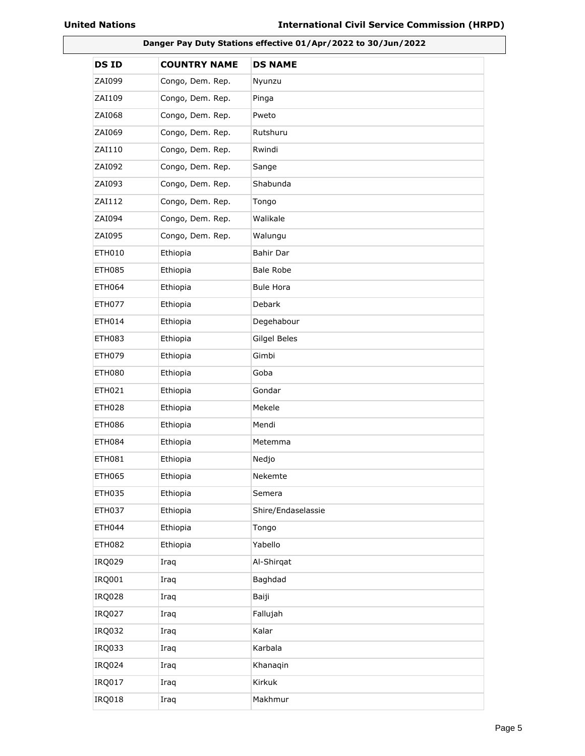| Danger Pay Duty Stations effective 01/Apr/2022 to 30/Jun/2022 |                     |                    |
|---------------------------------------------------------------|---------------------|--------------------|
| <b>DSID</b>                                                   | <b>COUNTRY NAME</b> | <b>DS NAME</b>     |
| ZAI099                                                        | Congo, Dem. Rep.    | Nyunzu             |
| ZAI109                                                        | Congo, Dem. Rep.    | Pinga              |
| ZAI068                                                        | Congo, Dem. Rep.    | Pweto              |
| ZAI069                                                        | Congo, Dem. Rep.    | Rutshuru           |
| ZAI110                                                        | Congo, Dem. Rep.    | Rwindi             |
| ZAI092                                                        | Congo, Dem. Rep.    | Sange              |
| ZAI093                                                        | Congo, Dem. Rep.    | Shabunda           |
| ZAI112                                                        | Congo, Dem. Rep.    | Tongo              |
| ZAI094                                                        | Congo, Dem. Rep.    | Walikale           |
| ZAI095                                                        | Congo, Dem. Rep.    | Walungu            |
| <b>ETH010</b>                                                 | Ethiopia            | Bahir Dar          |
| <b>ETH085</b>                                                 | Ethiopia            | <b>Bale Robe</b>   |
| <b>ETH064</b>                                                 | Ethiopia            | <b>Bule Hora</b>   |
| <b>ETH077</b>                                                 | Ethiopia            | <b>Debark</b>      |
| ETH014                                                        | Ethiopia            | Degehabour         |
| ETH083                                                        | Ethiopia            | Gilgel Beles       |
| <b>ETH079</b>                                                 | Ethiopia            | Gimbi              |
| ETH080                                                        | Ethiopia            | Goba               |
| <b>ETH021</b>                                                 | Ethiopia            | Gondar             |
| <b>ETH028</b>                                                 | Ethiopia            | Mekele             |
| <b>ETH086</b>                                                 | Ethiopia            | Mendi              |
| ETH084                                                        | Ethiopia            | Metemma            |
| ETH081                                                        | Ethiopia            | Nedjo              |
| <b>ETH065</b>                                                 | Ethiopia            | Nekemte            |
| <b>ETH035</b>                                                 | Ethiopia            | Semera             |
| <b>ETH037</b>                                                 | Ethiopia            | Shire/Endaselassie |
| <b>ETH044</b>                                                 | Ethiopia            | Tongo              |
| <b>ETH082</b>                                                 | Ethiopia            | Yabello            |
| <b>IRQ029</b>                                                 | Iraq                | Al-Shirqat         |
| IRQ001                                                        | Iraq                | Baghdad            |
| <b>IRQ028</b>                                                 | Iraq                | Baiji              |
| <b>IRQ027</b>                                                 | Iraq                | Fallujah           |
| IRQ032                                                        | Iraq                | Kalar              |
| IRQ033                                                        | Iraq                | Karbala            |
| <b>IRQ024</b>                                                 | Iraq                | Khanaqin           |
| <b>IRQ017</b>                                                 | Iraq                | Kirkuk             |
| <b>IRQ018</b>                                                 | Iraq                | Makhmur            |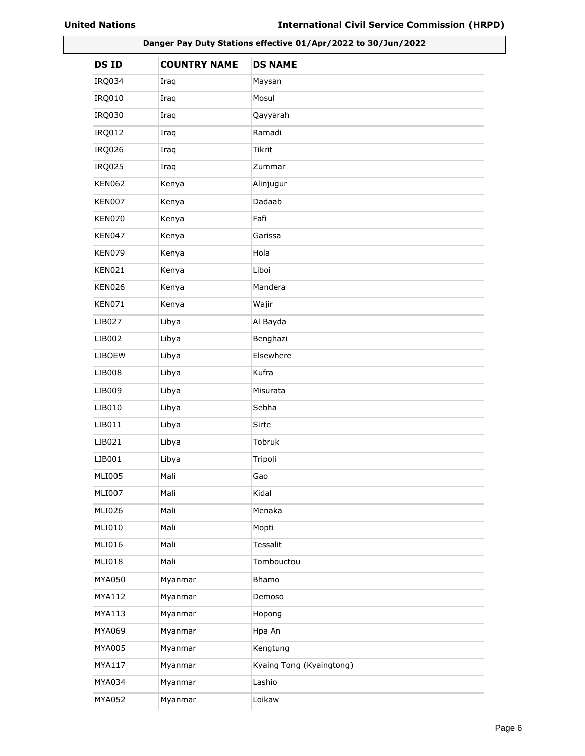| Danger Pay Duty Stations effective 01/Apr/2022 to 30/Jun/2022 |                     |                          |
|---------------------------------------------------------------|---------------------|--------------------------|
| <b>DSID</b>                                                   | <b>COUNTRY NAME</b> | <b>DS NAME</b>           |
| IRQ034                                                        | Iraq                | Maysan                   |
| <b>IRQ010</b>                                                 | Iraq                | Mosul                    |
| IRQ030                                                        | Iraq                | Qayyarah                 |
| <b>IRQ012</b>                                                 | Iraq                | Ramadi                   |
| <b>IRQ026</b>                                                 | Iraq                | Tikrit                   |
| IRQ025                                                        | Iraq                | Zummar                   |
| <b>KEN062</b>                                                 | Kenya               | Alinjugur                |
| <b>KEN007</b>                                                 | Kenya               | Dadaab                   |
| KEN070                                                        | Kenya               | Fafi                     |
| KEN047                                                        | Kenya               | Garissa                  |
| <b>KEN079</b>                                                 | Kenya               | Hola                     |
| <b>KEN021</b>                                                 | Kenya               | Liboi                    |
| <b>KEN026</b>                                                 | Kenya               | Mandera                  |
| <b>KEN071</b>                                                 | Kenya               | Wajir                    |
| LIB027                                                        | Libya               | Al Bayda                 |
| LIB002                                                        | Libya               | Benghazi                 |
| <b>LIBOEW</b>                                                 | Libya               | Elsewhere                |
| LIB008                                                        | Libya               | Kufra                    |
| LIB009                                                        | Libya               | Misurata                 |
| LIB010                                                        | Libya               | Sebha                    |
| LIB011                                                        | Libya               | Sirte                    |
| LIB021                                                        | Libya               | Tobruk                   |
| LIB001                                                        | Libya               | Tripoli                  |
| <b>MLI005</b>                                                 | Mali                | Gao                      |
| <b>MLI007</b>                                                 | Mali                | Kidal                    |
| <b>MLI026</b>                                                 | Mali                | Menaka                   |
| MLI010                                                        | Mali                | Mopti                    |
| MLI016                                                        | Mali                | Tessalit                 |
| MLI018                                                        | Mali                | Tombouctou               |
| MYA050                                                        | Myanmar             | Bhamo                    |
| MYA112                                                        | Myanmar             | Demoso                   |
| MYA113                                                        | Myanmar             | Hopong                   |
| MYA069                                                        | Myanmar             | Hpa An                   |
| MYA005                                                        | Myanmar             | Kengtung                 |
| MYA117                                                        | Myanmar             | Kyaing Tong (Kyaingtong) |
| MYA034                                                        | Myanmar             | Lashio                   |
| MYA052                                                        | Myanmar             | Loikaw                   |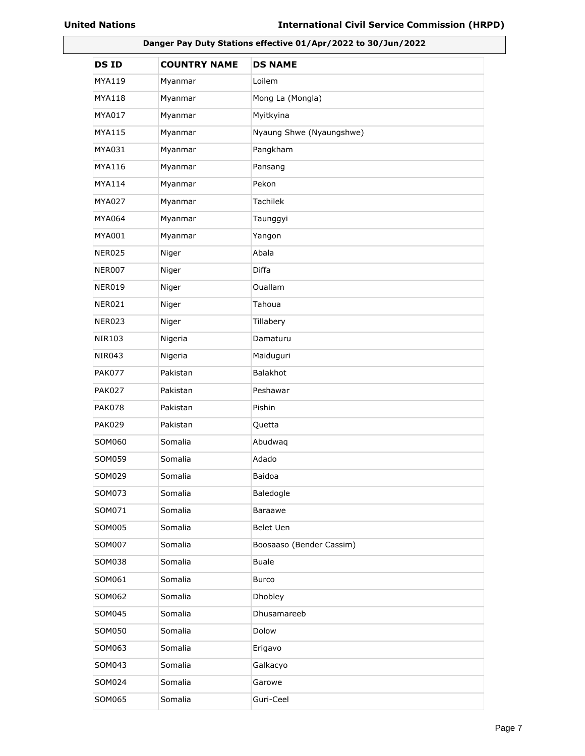| Danger Pay Duty Stations effective 01/Apr/2022 to 30/Jun/2022 |                     |                          |
|---------------------------------------------------------------|---------------------|--------------------------|
| <b>DSID</b>                                                   | <b>COUNTRY NAME</b> | <b>DS NAME</b>           |
| MYA119                                                        | Myanmar             | Loilem                   |
| MYA118                                                        | Myanmar             | Mong La (Mongla)         |
| MYA017                                                        | Myanmar             | Myitkyina                |
| MYA115                                                        | Myanmar             | Nyaung Shwe (Nyaungshwe) |
| MYA031                                                        | Myanmar             | Pangkham                 |
| MYA116                                                        | Myanmar             | Pansang                  |
| MYA114                                                        | Myanmar             | Pekon                    |
| MYA027                                                        | Myanmar             | Tachilek                 |
| MYA064                                                        | Myanmar             | Taunggyi                 |
| MYA001                                                        | Myanmar             | Yangon                   |
| NER025                                                        | Niger               | Abala                    |
| NER007                                                        | Niger               | Diffa                    |
| NER019                                                        | Niger               | <b>Ouallam</b>           |
| NER021                                                        | Niger               | Tahoua                   |
| NER023                                                        | Niger               | Tillabery                |
| NIR103                                                        | Nigeria             | Damaturu                 |
| NIR043                                                        | Nigeria             | Maiduguri                |
| <b>PAK077</b>                                                 | Pakistan            | <b>Balakhot</b>          |
| <b>PAK027</b>                                                 | Pakistan            | Peshawar                 |
| <b>PAK078</b>                                                 | Pakistan            | Pishin                   |
| <b>PAK029</b>                                                 | Pakistan            | Quetta                   |
| SOM060                                                        | Somalia             | Abudwaq                  |
| SOM059                                                        | Somalia             | Adado                    |
| SOM029                                                        | Somalia             | Baidoa                   |
| SOM073                                                        | Somalia             | Baledogle                |
| SOM071                                                        | Somalia             | Baraawe                  |
| SOM005                                                        | Somalia             | Belet Uen                |
| SOM007                                                        | Somalia             | Boosaaso (Bender Cassim) |
| SOM038                                                        | Somalia             | <b>Buale</b>             |
| SOM061                                                        | Somalia             | Burco                    |
| SOM062                                                        | Somalia             | Dhobley                  |
| SOM045                                                        | Somalia             | Dhusamareeb              |
| SOM050                                                        | Somalia             | Dolow                    |
| SOM063                                                        | Somalia             | Erigavo                  |
| SOM043                                                        | Somalia             | Galkacyo                 |
| SOM024                                                        | Somalia             | Garowe                   |
| SOM065                                                        | Somalia             | Guri-Ceel                |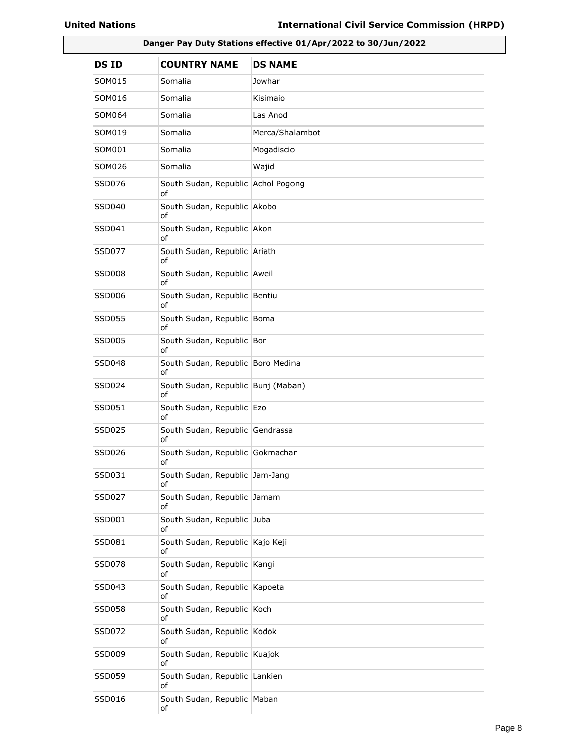| Danger Pay Duty Stations effective 01/Apr/2022 to 30/Jun/2022 |                                          |                 |
|---------------------------------------------------------------|------------------------------------------|-----------------|
| <b>DSID</b>                                                   | <b>COUNTRY NAME</b>                      | <b>DS NAME</b>  |
| SOM015                                                        | Somalia                                  | Jowhar          |
| SOM016                                                        | Somalia                                  | Kisimaio        |
| SOM064                                                        | Somalia                                  | Las Anod        |
| SOM019                                                        | Somalia                                  | Merca/Shalambot |
| SOM001                                                        | Somalia                                  | Mogadiscio      |
| SOM026                                                        | Somalia                                  | Wajid           |
| SSD076                                                        | South Sudan, Republic Achol Pogong<br>of |                 |
| SSD040                                                        | South Sudan, Republic Akobo<br>of        |                 |
| SSD041                                                        | South Sudan, Republic Akon<br>of         |                 |
| SSD077                                                        | South Sudan, Republic Ariath<br>of       |                 |
| <b>SSD008</b>                                                 | South Sudan, Republic Aweil<br>of        |                 |
| SSD006                                                        | South Sudan, Republic Bentiu<br>of       |                 |
| SSD055                                                        | South Sudan, Republic Boma<br>оf         |                 |
| SSD005                                                        | South Sudan, Republic Bor<br>of          |                 |
| SSD048                                                        | South Sudan, Republic Boro Medina<br>of  |                 |
| SSD024                                                        | South Sudan, Republic Bunj (Maban)<br>оf |                 |
| SSD051                                                        | South Sudan, Republic Ezo<br>оf          |                 |
| SSD025                                                        | South Sudan, Republic Gendrassa<br>of    |                 |
| SSD026                                                        | South Sudan, Republic Gokmachar<br>of    |                 |
| SSD031                                                        | South Sudan, Republic Jam-Jang<br>of     |                 |
| SSD027                                                        | South Sudan, Republic Jamam<br>of        |                 |
| SSD001                                                        | South Sudan, Republic Juba<br>of         |                 |
| SSD081                                                        | South Sudan, Republic Kajo Keji<br>of    |                 |
| <b>SSD078</b>                                                 | South Sudan, Republic Kangi<br>оf        |                 |
| SSD043                                                        | South Sudan, Republic Kapoeta<br>οf      |                 |
| <b>SSD058</b>                                                 | South Sudan, Republic Koch<br>оf         |                 |
| SSD072                                                        | South Sudan, Republic Kodok<br>οf        |                 |
| SSD009                                                        | South Sudan, Republic Kuajok<br>οf       |                 |
| SSD059                                                        | South Sudan, Republic Lankien<br>οf      |                 |
| SSD016                                                        | South Sudan, Republic Maban<br>of        |                 |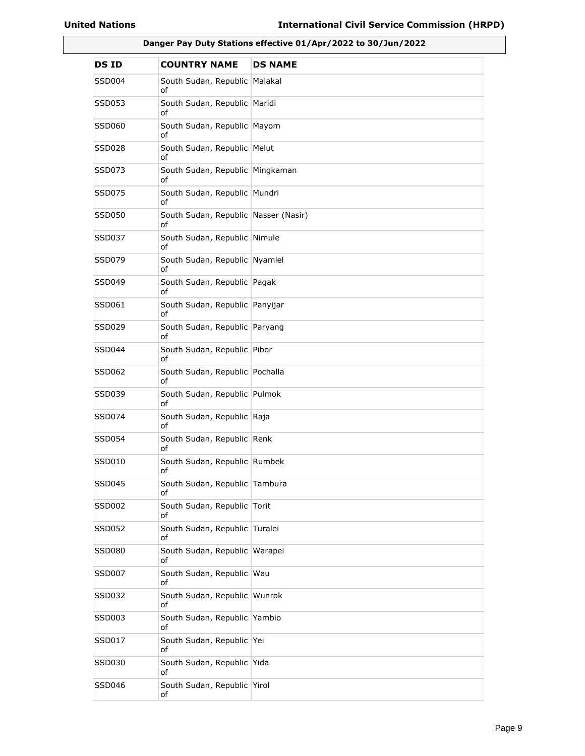| Danger Pay Duty Stations effective 01/Apr/2022 to 30/Jun/2022 |                                            |                |
|---------------------------------------------------------------|--------------------------------------------|----------------|
| DS ID                                                         | <b>COUNTRY NAME</b>                        | <b>DS NAME</b> |
| SSD004                                                        | South Sudan, Republic<br>οf                | Malakal        |
| SSD053                                                        | South Sudan, Republic Maridi<br>of         |                |
| SSD060                                                        | South Sudan, Republic Mayom<br>of          |                |
| SSD028                                                        | South Sudan, Republic Melut<br>of          |                |
| SSD073                                                        | South Sudan, Republic Mingkaman<br>οf      |                |
| SSD075                                                        | South Sudan, Republic Mundri<br>of         |                |
| SSD050                                                        | South Sudan, Republic Nasser (Nasir)<br>of |                |
| SSD037                                                        | South Sudan, Republic Nimule<br>of         |                |
| SSD079                                                        | South Sudan, Republic Nyamlel<br>of        |                |
| SSD049                                                        | South Sudan, Republic Pagak<br>of          |                |
| SSD061                                                        | South Sudan, Republic Panyijar<br>of       |                |
| SSD029                                                        | South Sudan, Republic Paryang<br>of        |                |
| SSD044                                                        | South Sudan, Republic Pibor<br>of          |                |
| SSD062                                                        | South Sudan, Republic Pochalla<br>of       |                |
| SSD039                                                        | South Sudan, Republic Pulmok<br>of         |                |
| SSD074                                                        | South Sudan, Republic Raja<br>of           |                |
| SSD054                                                        | South Sudan, Republic Renk<br>of           |                |
| SSD010                                                        | South Sudan, Republic Rumbek<br>оf         |                |
| SSD045                                                        | South Sudan, Republic Tambura<br>of        |                |
| SSD002                                                        | South Sudan, Republic Torit<br>οf          |                |
| SSD052                                                        | South Sudan, Republic Turalei<br>оf        |                |
| SSD080                                                        | South Sudan, Republic<br>οf                | Warapei        |
| <b>SSD007</b>                                                 | South Sudan, Republic Wau<br>of            |                |
| SSD032                                                        | South Sudan, Republic Wunrok<br>of         |                |
| SSD003                                                        | South Sudan, Republic Yambio<br>οf         |                |
| SSD017                                                        | South Sudan, Republic Yei<br>of            |                |
| SSD030                                                        | South Sudan, Republic Yida<br>of           |                |
| SSD046                                                        | South Sudan, Republic Yirol<br>of          |                |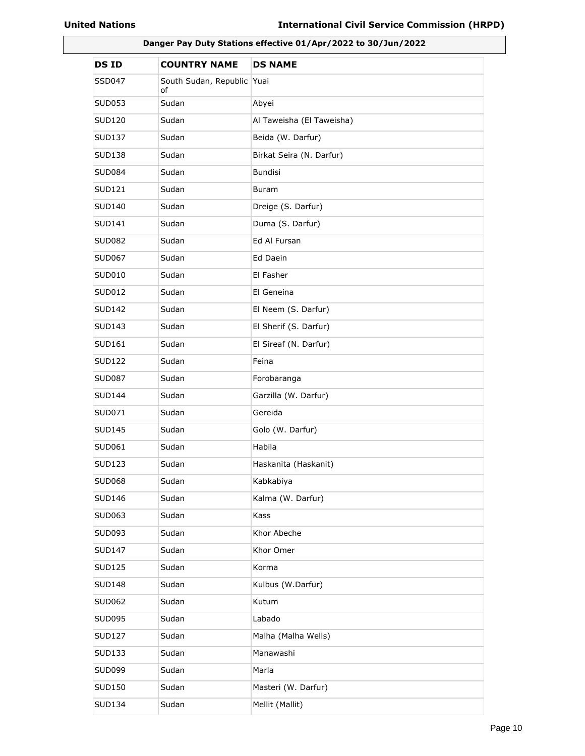| Danger Pay Duty Stations effective 01/Apr/2022 to 30/Jun/2022 |                                  |                           |
|---------------------------------------------------------------|----------------------------------|---------------------------|
| <b>DSID</b>                                                   | <b>COUNTRY NAME</b>              | <b>DS NAME</b>            |
| SSD047                                                        | South Sudan, Republic Yuai<br>of |                           |
| SUD053                                                        | Sudan                            | Abyei                     |
| SUD120                                                        | Sudan                            | Al Taweisha (El Taweisha) |
| SUD137                                                        | Sudan                            | Beida (W. Darfur)         |
| <b>SUD138</b>                                                 | Sudan                            | Birkat Seira (N. Darfur)  |
| <b>SUD084</b>                                                 | Sudan                            | <b>Bundisi</b>            |
| SUD121                                                        | Sudan                            | Buram                     |
| SUD140                                                        | Sudan                            | Dreige (S. Darfur)        |
| SUD141                                                        | Sudan                            | Duma (S. Darfur)          |
| <b>SUD082</b>                                                 | Sudan                            | Ed Al Fursan              |
| SUD067                                                        | Sudan                            | Ed Daein                  |
| SUD010                                                        | Sudan                            | El Fasher                 |
| SUD012                                                        | Sudan                            | El Geneina                |
| <b>SUD142</b>                                                 | Sudan                            | El Neem (S. Darfur)       |
| SUD143                                                        | Sudan                            | El Sherif (S. Darfur)     |
| SUD161                                                        | Sudan                            | El Sireaf (N. Darfur)     |
| SUD122                                                        | Sudan                            | Feina                     |
| <b>SUD087</b>                                                 | Sudan                            | Forobaranga               |
| <b>SUD144</b>                                                 | Sudan                            | Garzilla (W. Darfur)      |
| SUD071                                                        | Sudan                            | Gereida                   |
| <b>SUD145</b>                                                 | Sudan                            | Golo (W. Darfur)          |
| SUD061                                                        | Sudan                            | Habila                    |
| <b>SUD123</b>                                                 | Sudan                            | Haskanita (Haskanit)      |
| SUD068                                                        | Sudan                            | Kabkabiya                 |
| <b>SUD146</b>                                                 | Sudan                            | Kalma (W. Darfur)         |
| SUD063                                                        | Sudan                            | Kass                      |
| SUD093                                                        | Sudan                            | Khor Abeche               |
| <b>SUD147</b>                                                 | Sudan                            | Khor Omer                 |
| <b>SUD125</b>                                                 | Sudan                            | Korma                     |
| <b>SUD148</b>                                                 | Sudan                            | Kulbus (W.Darfur)         |
| SUD062                                                        | Sudan                            | Kutum                     |
| <b>SUD095</b>                                                 | Sudan                            | Labado                    |
| <b>SUD127</b>                                                 | Sudan                            | Malha (Malha Wells)       |
| SUD133                                                        | Sudan                            | Manawashi                 |
| SUD099                                                        | Sudan                            | Marla                     |
| SUD150                                                        | Sudan                            | Masteri (W. Darfur)       |
| SUD134                                                        | Sudan                            | Mellit (Mallit)           |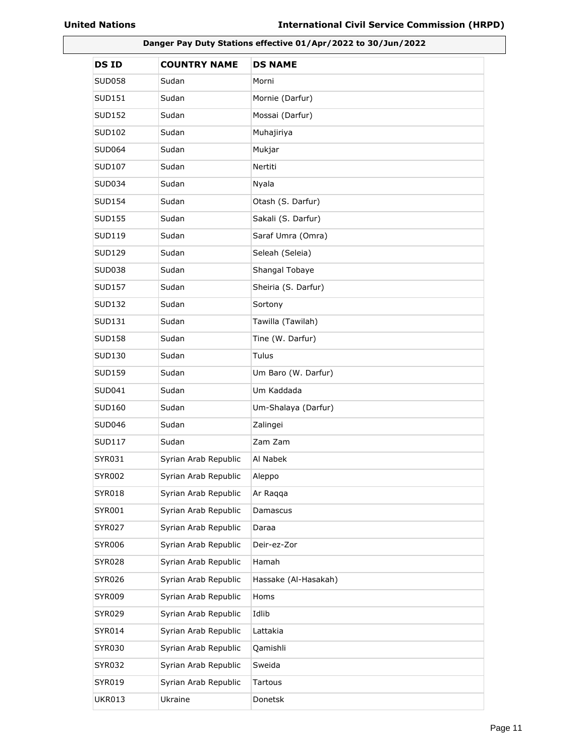| Danger Pay Duty Stations effective 01/Apr/2022 to 30/Jun/2022 |                      |                      |
|---------------------------------------------------------------|----------------------|----------------------|
| <b>DSID</b>                                                   | <b>COUNTRY NAME</b>  | <b>DS NAME</b>       |
| SUD058                                                        | Sudan                | Morni                |
| SUD151                                                        | Sudan                | Mornie (Darfur)      |
| SUD152                                                        | Sudan                | Mossai (Darfur)      |
| <b>SUD102</b>                                                 | Sudan                | Muhajiriya           |
| <b>SUD064</b>                                                 | Sudan                | Mukjar               |
| <b>SUD107</b>                                                 | Sudan                | Nertiti              |
| SUD034                                                        | Sudan                | Nyala                |
| <b>SUD154</b>                                                 | Sudan                | Otash (S. Darfur)    |
| SUD155                                                        | Sudan                | Sakali (S. Darfur)   |
| SUD119                                                        | Sudan                | Saraf Umra (Omra)    |
| SUD129                                                        | Sudan                | Seleah (Seleia)      |
| SUD038                                                        | Sudan                | Shangal Tobaye       |
| SUD157                                                        | Sudan                | Sheiria (S. Darfur)  |
| <b>SUD132</b>                                                 | Sudan                | Sortony              |
| SUD131                                                        | Sudan                | Tawilla (Tawilah)    |
| SUD158                                                        | Sudan                | Tine (W. Darfur)     |
| SUD130                                                        | Sudan                | Tulus                |
| <b>SUD159</b>                                                 | Sudan                | Um Baro (W. Darfur)  |
| SUD041                                                        | Sudan                | Um Kaddada           |
| SUD160                                                        | Sudan                | Um-Shalaya (Darfur)  |
| SUD046                                                        | Sudan                | Zalingei             |
| SUD117                                                        | Sudan                | Zam Zam              |
| SYR031                                                        | Syrian Arab Republic | Al Nabek             |
| <b>SYR002</b>                                                 | Syrian Arab Republic | Aleppo               |
| <b>SYR018</b>                                                 | Syrian Arab Republic | Ar Raqqa             |
| SYR001                                                        | Syrian Arab Republic | Damascus             |
| <b>SYR027</b>                                                 | Syrian Arab Republic | Daraa                |
| <b>SYR006</b>                                                 | Syrian Arab Republic | Deir-ez-Zor          |
| <b>SYR028</b>                                                 | Syrian Arab Republic | Hamah                |
| SYR026                                                        | Syrian Arab Republic | Hassake (Al-Hasakah) |
| <b>SYR009</b>                                                 | Syrian Arab Republic | Homs                 |
| <b>SYR029</b>                                                 | Syrian Arab Republic | Idlib                |
| SYR014                                                        | Syrian Arab Republic | Lattakia             |
| <b>SYR030</b>                                                 | Syrian Arab Republic | Qamishli             |
| <b>SYR032</b>                                                 | Syrian Arab Republic | Sweida               |
| SYR019                                                        | Syrian Arab Republic | Tartous              |
| <b>UKR013</b>                                                 | Ukraine              | Donetsk              |